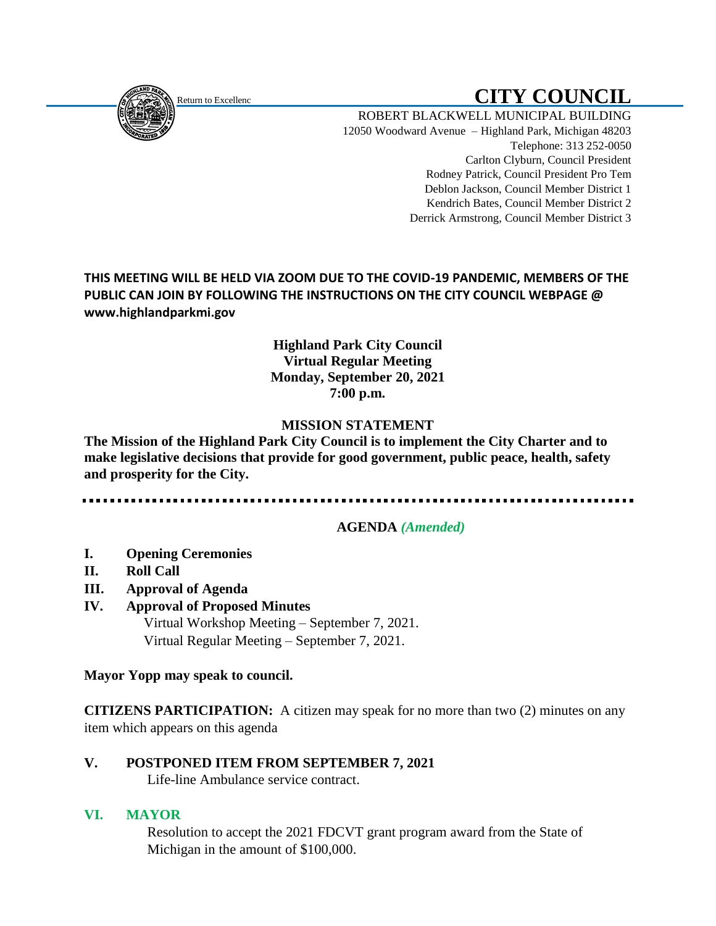

# Return to Excellenc **Return to Excellenc**

ROBERT BLACKWELL MUNICIPAL BUILDING 12050 Woodward Avenue – Highland Park, Michigan 48203 Telephone: 313 252-0050 Carlton Clyburn, Council President Rodney Patrick, Council President Pro Tem Deblon Jackson, Council Member District 1 Kendrich Bates, Council Member District 2 Derrick Armstrong, Council Member District 3

**THIS MEETING WILL BE HELD VIA ZOOM DUE TO THE COVID-19 PANDEMIC, MEMBERS OF THE PUBLIC CAN JOIN BY FOLLOWING THE INSTRUCTIONS ON THE CITY COUNCIL WEBPAGE @ www.highlandparkmi.gov**

### **Highland Park City Council Virtual Regular Meeting Monday, September 20, 2021 7:00 p.m.**

# **MISSION STATEMENT**

**The Mission of the Highland Park City Council is to implement the City Charter and to make legislative decisions that provide for good government, public peace, health, safety and prosperity for the City.**

## **AGENDA** *(Amended)*

- **I. Opening Ceremonies**
- **II. Roll Call**
- **III. Approval of Agenda**
- **IV. Approval of Proposed Minutes** Virtual Workshop Meeting – September 7, 2021. Virtual Regular Meeting – September 7, 2021.

**Mayor Yopp may speak to council.** 

**CITIZENS PARTICIPATION:** A citizen may speak for no more than two (2) minutes on any item which appears on this agenda

# **V. POSTPONED ITEM FROM SEPTEMBER 7, 2021**

Life-line Ambulance service contract.

#### **VI. MAYOR**

Resolution to accept the 2021 FDCVT grant program award from the State of Michigan in the amount of \$100,000.